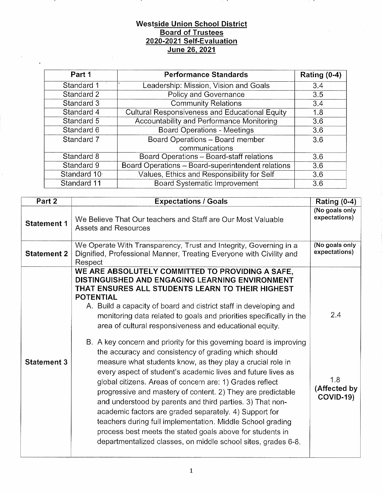#### Westside Union School District Board of Trustees 2020-2021 Self-Evaluation June 26, 2021

. .

| Part 1      | <b>Performance Standards</b>                          | Rating $(0-4)$ |
|-------------|-------------------------------------------------------|----------------|
| Standard 1  | Leadership: Mission, Vision and Goals                 | 3.4            |
| Standard 2  | Policy and Governance                                 | 3.5            |
| Standard 3  | <b>Community Relations</b>                            | 3.4            |
| Standard 4  | <b>Cultural Responsiveness and Educational Equity</b> | 1.8            |
| Standard 5  | Accountability and Performance Monitoring             | 3.6            |
| Standard 6  | <b>Board Operations - Meetings</b>                    | 3.6            |
| Standard 7  | Board Operations - Board member                       | 3.6            |
|             | communications                                        |                |
| Standard 8  | Board Operations - Board-staff relations              | 3.6            |
| Standard 9  | Board Operations - Board-superintendent relations     | 3.6            |
| Standard 10 | Values, Ethics and Responsibility for Self            | 3.6            |
| Standard 11 | <b>Board Systematic Improvement</b>                   | 3.6            |

| Part 2             | <b>Expectations / Goals</b>                                                                                                                                                                                                                                                                                                                                                                                                                                                                                                                                                                                                                                                                                                                                                                                                                                                                                                                                                                                                                                                                   | <b>Rating (0-4)</b>                            |
|--------------------|-----------------------------------------------------------------------------------------------------------------------------------------------------------------------------------------------------------------------------------------------------------------------------------------------------------------------------------------------------------------------------------------------------------------------------------------------------------------------------------------------------------------------------------------------------------------------------------------------------------------------------------------------------------------------------------------------------------------------------------------------------------------------------------------------------------------------------------------------------------------------------------------------------------------------------------------------------------------------------------------------------------------------------------------------------------------------------------------------|------------------------------------------------|
| <b>Statement 1</b> | We Believe That Our teachers and Staff are Our Most Valuable<br><b>Assets and Resources</b>                                                                                                                                                                                                                                                                                                                                                                                                                                                                                                                                                                                                                                                                                                                                                                                                                                                                                                                                                                                                   | (No goals only<br>expectations)                |
| <b>Statement 2</b> | We Operate With Transparency, Trust and Integrity, Governing in a<br>Dignified, Professional Manner, Treating Everyone with Civility and<br>Respect                                                                                                                                                                                                                                                                                                                                                                                                                                                                                                                                                                                                                                                                                                                                                                                                                                                                                                                                           | (No goals only<br>expectations)                |
| <b>Statement 3</b> | WE ARE ABSOLUTELY COMMITTED TO PROVIDING A SAFE,<br>DISTINGUISHED AND ENGAGING LEARNING ENVIRONMENT<br>THAT ENSURES ALL STUDENTS LEARN TO THEIR HIGHEST<br><b>POTENTIAL</b><br>A. Build a capacity of board and district staff in developing and<br>monitoring data related to goals and priorities specifically in the<br>area of cultural responsiveness and educational equity.<br>B. A key concern and priority for this governing board is improving<br>the accuracy and consistency of grading which should<br>measure what students know, as they play a crucial role in<br>every aspect of student's academic lives and future lives as<br>global citizens. Areas of concern are: 1) Grades reflect<br>progressive and mastery of content. 2) They are predictable<br>and understood by parents and third parties. 3) That non-<br>academic factors are graded separately. 4) Support for<br>teachers during full implementation. Middle School grading<br>process best meets the stated goals above for students in<br>departmentalized classes, on middle school sites, grades 6-8. | 2.4<br>1.8<br>(Affected by<br><b>COVID-19)</b> |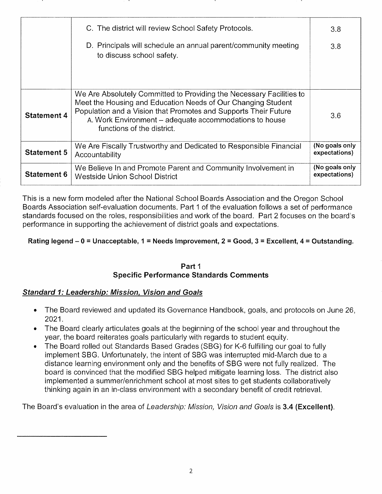|                    | C. The district will review School Safety Protocols.                                                                                                                                                                                                                                            | 3.8                             |
|--------------------|-------------------------------------------------------------------------------------------------------------------------------------------------------------------------------------------------------------------------------------------------------------------------------------------------|---------------------------------|
|                    | D. Principals will schedule an annual parent/community meeting<br>to discuss school safety.                                                                                                                                                                                                     | 3.8                             |
| <b>Statement 4</b> | We Are Absolutely Committed to Providing the Necessary Facilities to<br>Meet the Housing and Education Needs of Our Changing Student<br>Population and a Vision that Promotes and Supports Their Future<br>A. Work Environment - adequate accommodations to house<br>functions of the district. | 3.6                             |
| <b>Statement 5</b> | We Are Fiscally Trustworthy and Dedicated to Responsible Financial<br>Accountability                                                                                                                                                                                                            | (No goals only<br>expectations) |
| <b>Statement 6</b> | We Believe In and Promote Parent and Community Involvement in<br>Westside Union School District                                                                                                                                                                                                 | (No goals only<br>expectations) |

This is a new form modeled after the National School Boards Associatìon and the Oregon School Boards Association self-evaluation documents. Part 1 of the evaluation follows a set of performance standards focused on the roles, responsibilities and work of the board. Part 2 focuses on the board's performance in supporting the achievement of district goals and expectatjons.

### Rating legend  $-0$  = Unacceptable, 1 = Needs Improvement, 2 = Good, 3 = Excellent, 4 = Outstanding.

#### Part <sup>1</sup> Specific Performance Standards Comments

### Standard 1: Leadership: Mission, Vision and Goals

- . The Board reviewed and updated its Governance Handbook, goals, and protocols on June <sup>26</sup> 2021.
- The Board clearly articulates goals at the beginning of the school year and throughout the year, the board reiterates goals particularly with regards to student equity.
- . The Board rolled out Standards Based Grades (SBG) for K-6 fulfilling our goal to fully implement SBG. Unfortunately, the intent of SBG was interrupted mid-March due to a distance learning environment only and the benefits of SBG were not fully realized. The board is convinced that the modified SBG helped mitigate learning loss. The district also implemented a summer/enrichment school at most sites to get students collaboratively thinking again in an in-class environment with a secondary benefit of credit retrieval.

The Board's evaluation in the area of Leadership: Mission, Vision and Goals is 3.4 (Excellent).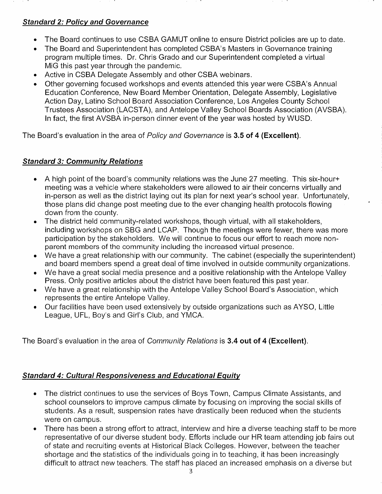# Standard 2: Policv and Governance

- The Board continues to use CSBA GAMUT online to ensure District policies are up to date.  $\bullet$
- The Board and Superintendent has completed CSBA's Masters in Governance training program multiple times. Dr. Chris Grado and our Superintendent completed a virtual MiG this past year through the pandemic. a
- Active in CSBA Delegate Assembly and other CSBA webìnars.  $\bullet$
- Other governing focused workshops and events attended this yearwere CSBA's Annual Education Conference, New Board Member Orientation, Delegate Assembly, Legislative Action Day, Latino School Board Association Conference, Los Angeles County School Trustees Association (LACSTA), and Antelope Valley School Boards Association (AVSBA) ln fact, the first AVSBA in-person dinner event of the year was hosted by WUSD. a

The Board's evaluation in the area of Policy and Governance is 3.5 of 4 (Excellent).

# Standard 3: Communitv Relations

- A high point of the board's community relations was the June 27 meeting. This six-hour+  $\bullet$ meeting was a vehicle where stakeholders were allowed to air their concerns virtually and in-person as well as the district laying out its plan for next year's school year. Unfortunately, those plans did change post meeting due to the ever changing health protocols flowing down from the county.
- The district held community-related workshops, though virtual, with all stakeholders, including workshops on SBG and LCAP. Though the meetings were fewer, there was more participation by the stakeholders. We will continue to focus our effort to reach more nonparent members of the community including the increased virtual presence. a
- We have a great relationship with our community. The cabinet (especially the superintendent) and board members spend a great deal of time involved ìn outside community organizations. a
- We have a great social media presence and a positive relationship with the Antelope Valley Press. Only positive articles about the district have been featured this past year. a
- We have a great relationship with the Antelope Valley School Board's Association, which represents the entire Antelope Valley. a
- Our facilities have been used extensively by outside organizations such as AYSO, Little  $\bullet$ League, UFL, Boy's and Girl's Club, and YMCA.

The Board's evaluation in the area of Community Relations is 3.4 out of 4 (Excellent).

### Standard 4: Cultural Responsiveness and Educational Equitv

- The district continues to use the services of Boys Town, Campus Climate Assistants, and school counselors to improve campus climate by focusing on improving the social skills of students. As a result, suspension rates have drastically been reduced when the students were on campus. a
- There has been a strong effort to attract, interview and hire a diverse teaching staff to be more  $\bullet$ representative of our diverse student body. Efforts include our HR team attending job fairs out of state and recruiting events at Historical Black Colleges. However, between the teacher shortage and the statistics of the individuals going in to teaching, it has been increasingly difficult to attract new teachers. The staff has placed an increased emphasis on a diverse but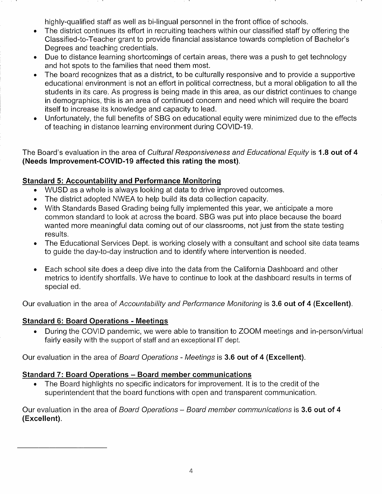highly-qualified staff as well as bi-lingual personnel in the front office of schools.

- The district continues its effort in recruiting teachers within our classified staff by offering the Classified-to-Teacher grant to provide financial assistance towards completion of Bachelor's Degrees and teaching credentials. a
- Due to distance learning shortcomings of certain areas, there was a push to get technology and hot spots to the famiìies that need them most. a
- The board recognizes that as a district, to be culturally responsive and to provide a supportive educational environment is not an effort in political correctness, but a moral obligation to all the students in its care. As progress is being made in this area, as our district continues to change in demographics, this is an area of continued concern and need which will require the board itself to increase its knowledge and capacity to lead. a
- Unfortunately, the full benefits of SBG on educational equity were minimized due to the effects of teaching in distance learning environment during COVID-19. a

The Board's evaluation in the area of Cultural Responsiveness and Educational Equity is 1.8 out of 4 (Needs lmprovement-COv|D-19 affected this rating the most).

# Standard 5: Accountabilitv and Pefformance Monitorinq

- WUSD as a whole is always looking at data to drive improved outcomes.
- . The district adopted NWEA to help build its data collection capacity.
- With Standards Based Grading being fully implemented this year, we anticipate a more common standard to look at across the board. SBG was put into place because the board wanted more meaningful data coming out of our classrooms, not just from the state testing results.
- . The Educational Services Dept. ìs working closely with a consultant and school site data teams to quide the day-to-day instruction and to identify where intervention is needed.
- . Each school site does a deep dive into the data from the California Dashboard and other metrics to identify shortfalls. We have to continue to look at the dashboard results in terms of special ed.

Our evaluation in the area of Accountability and Performance Monitoring is 3.6 out of 4 (Excellent).

### Standard 6: Board Operations - Meetinqs

• During the COVID pandemic, we were able to transition to ZOOM meetings and in-person/virtual fairly easily with the support of staff and an exceptional lT dept.

Our evaluation in the area of Board Operations - Meetings is 3.6 out of 4 (Excellent).

# Standard 7: Board Operations - Board member communications

. The Board highlights no specific indicators for improvement. lt is to the credit of the superintendent that the board functions with open and transparent communication.

Our evaluation in the area of Board Operations – Board member communications is 3.6 out of 4 (Excellent).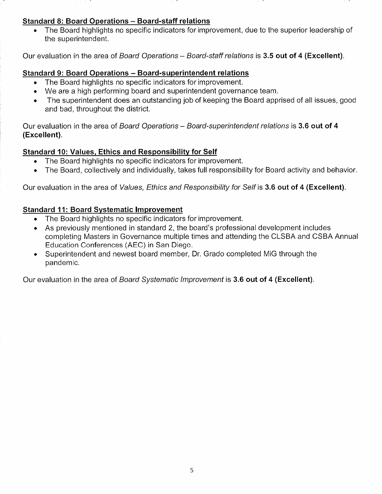### Standard 8: Board Operations - Board-staff relations

. The Board highlights no specific indicators for improvement, due to the superior leadership of the superintendent.

Our evaluation in the area of Board Operations – Board-staff relations is 3.5 out of 4 (Excellent).

#### Standard 9: Board Operations - Board-superintendent relations

- . The Board highlights no specific indicators for improvement.
- We are a high performing board and superintendent governance team.
- . The superintendent does an outstanding job of keeping the Board apprised of all issues, good and bad, throughout the district.

Our evaluation in the area of Board Operations - Board-superintendent relations is 3.6 out of 4 (Excellent).

# Standard 10: Values, Ethics and Responsibility for Self

- . The Board highlights no specific indicators for improvement.
- . The Board, collectively and individually, takes full responsibility for Board activity and behavior

Our evaluation in the area of Values, Ethics and Responsibility for Self is 3.6 out of 4 (Excellent).

### Standard 11: Board Svstematic lmprovement

- . The Board highlights no specific indicators for improvement.
- . As previously mentioned in standard 2, the board's professional development includes completing Masters in Governance multiple times and attending the CLSBA and CSBA Annual Education Conferences (AEC) in San Diego.
- Superintendent and newest board member, Dr. Grado completed MiG through the pandemic.

Our evaluation in the area of Board Systematic Improvement is 3.6 out of 4 (Excellent).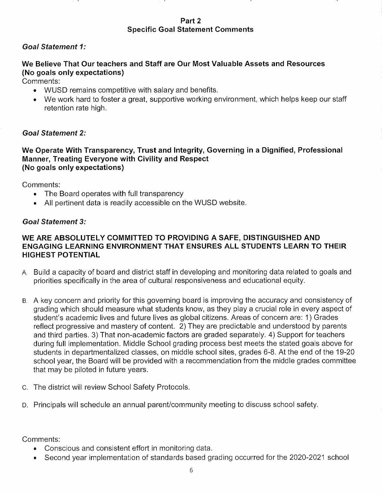Part 2 Specific Goal Statement Comments

### Goal Statement <sup>1</sup>

### We Believe That Our teachers and Staff are Our Most Valuable Assets and Resources (No goals only expectations)

Comments:

- . WUSD remains competitive wìth salary and benefits.
- We work hard to foster a great, supportive working environment, which helps keep our staff retention rate high.

### Goal Statement 2

#### We Operate With Transparency, Trust and lntegrity, Governing in a Dignified, Professional Manner, Treating Everyone with Civility and Respect (No goals only expectations)

Comments:

- . The Board operates with full transparency
- e All pertinent data is readily accessible on the WUSD website

#### Goal Statement 3:

### WE ARE ABSOLUTELY COMMITTED TO PROVIDING A SAFE, DISTINGUISHED AND ENGAGING LEARNING ENVIRONMENT THAT ENSURES ALL STUDENTS LEARN TO THEIR HIGHEST POTENTIAL

- A. Build a capacity of board and district staff in developing and monitoring data related to goals and priorities specifically in the area of cultural responsiveness and educational equity.
- B. A key concern and priority for this governing board is improving the accuracy and consistency of grading which should measure what students know, as they play a crucial role in every aspect of student's academic lives and future lives as global citizens. Areas of concern are: 1) Grades reflect progressive and mastery of content. 2) They are predictable and understood by parents and third parties. 3) That non-academic factors are graded separately. 4) Support for teachers during full implementation. Middle School grading process best meets the stated goals above for students in departmentalized classes, on middle school sites, grades 6-8. At the end of the 19-20 school year, the Board will be provided with a recommendation from the middle grades committee that may be piloted in future years.
- c. The district will review School Safety Protocols.
- D. Principals will schedule an annual parent/community meeting to discuss school safety.

Comments:

- Conscious and consistent effort in monitoring data.
- . Second year implementation of standards based grading occurred for lhe 2020-2021 school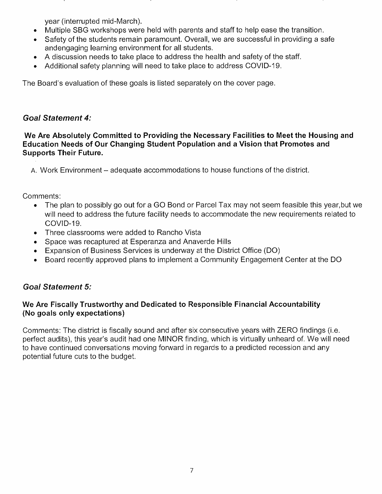year (interrupted mid-March).

- . Multiple SBG workshops were held with parents and staff to help ease the transition.
- . Safety of the students remain paramount. Overall, we are successful in providing a safe andengaging learning environment for all students.
- . A discussion needs to take place to address the health and safety ofthe staff.
- . Additional safety planning will need to take place to address COVID-19.

The Board's evaluation of these goals is listed separately on the cover page

# Goal Statement 4:

We Are Absolutely Committed to Providing the Necessary Facilities to Meet the Housing and Education Needs of Our Changing Student Population and a Vision that Promotes and Supports Their Future.

A. Work Environment – adequate accommodations to house functions of the district.

Comments:

- . The plan to possibly go out for a GO Bond or Parcel Tax may not seem feasible this year,but we will need to address the future facility needs to accommodate the new requirements related to COVID-19.
- . Three classrooms were added to Rancho Vista
- . Space was recaptured at Esperanza and Anaverde Hills
- . Expansion of Business Services is underuvay at the District Office (DO)
- . Board recently approved plans to implement a Community Engagement Center at the DO

# Goal Statement 5:

### We Are Fiscally Trustworthy and Dedicated to Responsible Financial Accountability (No goals only expectations)

Comments: The district is fiscally sound and after six consecutive years with ZERO findings (i.e. perfect audits), this year's audit had one MINOR finding, which is virtually unheard of. We will need to have continued conversations moving forward in regards to a predicted recession and any potential future cuts to the budget.